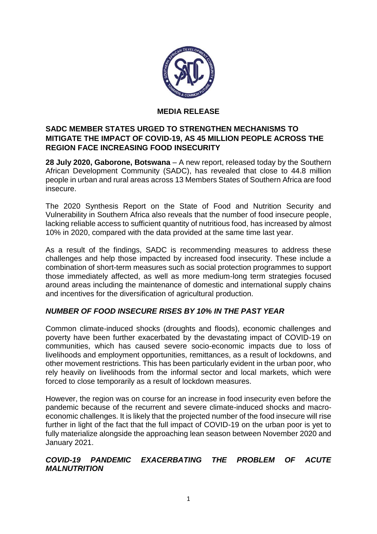

#### **MEDIA RELEASE**

## **SADC MEMBER STATES URGED TO STRENGTHEN MECHANISMS TO MITIGATE THE IMPACT OF COVID-19, AS 45 MILLION PEOPLE ACROSS THE REGION FACE INCREASING FOOD INSECURITY**

**28 July 2020, Gaborone, Botswana** – A new report, released today by the Southern African Development Community (SADC), has revealed that close to 44.8 million people in urban and rural areas across 13 Members States of Southern Africa are food insecure.

The 2020 Synthesis Report on the State of Food and Nutrition Security and Vulnerability in Southern Africa also reveals that the number of food insecure people, lacking reliable access to sufficient quantity of nutritious food, has increased by almost 10% in 2020, compared with the data provided at the same time last year.

As a result of the findings, SADC is recommending measures to address these challenges and help those impacted by increased food insecurity. These include a combination of short-term measures such as social protection programmes to support those immediately affected, as well as more medium-long term strategies focused around areas including the maintenance of domestic and international supply chains and incentives for the diversification of agricultural production.

## *NUMBER OF FOOD INSECURE RISES BY 10% IN THE PAST YEAR*

Common climate-induced shocks (droughts and floods), economic challenges and poverty have been further exacerbated by the devastating impact of COVID-19 on communities, which has caused severe socio-economic impacts due to loss of livelihoods and employment opportunities, remittances, as a result of lockdowns, and other movement restrictions. This has been particularly evident in the urban poor, who rely heavily on livelihoods from the informal sector and local markets, which were forced to close temporarily as a result of lockdown measures.

However, the region was on course for an increase in food insecurity even before the pandemic because of the recurrent and severe climate-induced shocks and macroeconomic challenges. It is likely that the projected number of the food insecure will rise further in light of the fact that the full impact of COVID-19 on the urban poor is yet to fully materialize alongside the approaching lean season between November 2020 and January 2021.

## *COVID-19 PANDEMIC EXACERBATING THE PROBLEM OF ACUTE MALNUTRITION*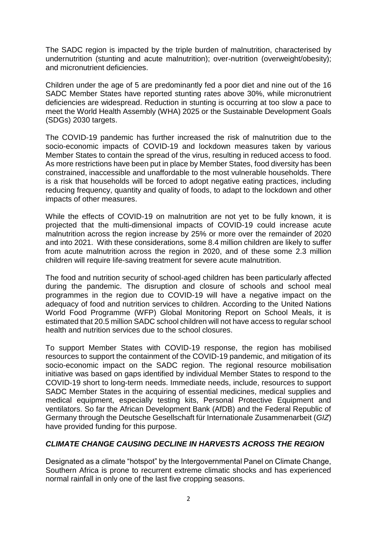The SADC region is impacted by the triple burden of malnutrition, characterised by undernutrition (stunting and acute malnutrition); over-nutrition (overweight/obesity); and micronutrient deficiencies.

Children under the age of 5 are predominantly fed a poor diet and nine out of the 16 SADC Member States have reported stunting rates above 30%, while micronutrient deficiencies are widespread. Reduction in stunting is occurring at too slow a pace to meet the World Health Assembly (WHA) 2025 or the Sustainable Development Goals (SDGs) 2030 targets.

The COVID-19 pandemic has further increased the risk of malnutrition due to the socio-economic impacts of COVID-19 and lockdown measures taken by various Member States to contain the spread of the virus, resulting in reduced access to food. As more restrictions have been put in place by Member States, food diversity has been constrained, inaccessible and unaffordable to the most vulnerable households. There is a risk that households will be forced to adopt negative eating practices, including reducing frequency, quantity and quality of foods, to adapt to the lockdown and other impacts of other measures.

While the effects of COVID-19 on malnutrition are not yet to be fully known, it is projected that the multi-dimensional impacts of COVID-19 could increase acute malnutrition across the region increase by 25% or more over the remainder of 2020 and into 2021. With these considerations, some 8.4 million children are likely to suffer from acute malnutrition across the region in 2020, and of these some 2.3 million children will require life-saving treatment for severe acute malnutrition.

The food and nutrition security of school-aged children has been particularly affected during the pandemic. The disruption and closure of schools and school meal programmes in the region due to COVID-19 will have a negative impact on the adequacy of food and nutrition services to children. According to the United Nations World Food Programme (WFP) Global Monitoring Report on School Meals, it is estimated that 20.5 million SADC school children will not have access to regular school health and nutrition services due to the school closures.

To support Member States with COVID-19 response, the region has mobilised resources to support the containment of the COVID-19 pandemic, and mitigation of its socio-economic impact on the SADC region. The regional resource mobilisation initiative was based on gaps identified by individual Member States to respond to the COVID-19 short to long-term needs. Immediate needs, include, resources to support SADC Member States in the acquiring of essential medicines, medical supplies and medical equipment, especially testing kits, Personal Protective Equipment and ventilators. So far the African Development Bank (AfDB) and the Federal Republic of Germany through the Deutsche Gesellschaft für Internationale Zusammenarbeit (*GIZ*) have provided funding for this purpose.

## *CLIMATE CHANGE CAUSING DECLINE IN HARVESTS ACROSS THE REGION*

Designated as a climate "hotspot" by the Intergovernmental Panel on Climate Change, Southern Africa is prone to recurrent extreme climatic shocks and has experienced normal rainfall in only one of the last five cropping seasons.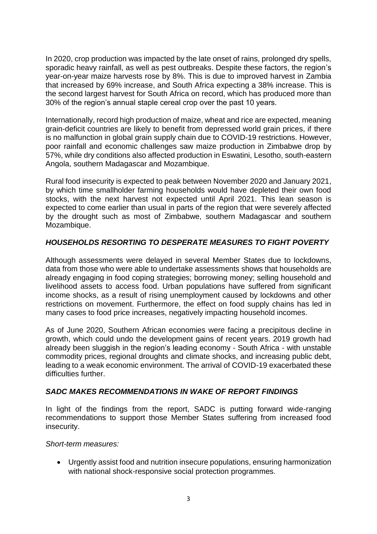In 2020, crop production was impacted by the late onset of rains, prolonged dry spells, sporadic heavy rainfall, as well as pest outbreaks. Despite these factors, the region's year-on-year maize harvests rose by 8%. This is due to improved harvest in Zambia that increased by 69% increase, and South Africa expecting a 38% increase. This is the second largest harvest for South Africa on record, which has produced more than 30% of the region's annual staple cereal crop over the past 10 years.

Internationally, record high production of maize, wheat and rice are expected, meaning grain-deficit countries are likely to benefit from depressed world grain prices, if there is no malfunction in global grain supply chain due to COVID-19 restrictions. However, poor rainfall and economic challenges saw maize production in Zimbabwe drop by 57%, while dry conditions also affected production in Eswatini, Lesotho, south-eastern Angola, southern Madagascar and Mozambique.

Rural food insecurity is expected to peak between November 2020 and January 2021, by which time smallholder farming households would have depleted their own food stocks, with the next harvest not expected until April 2021. This lean season is expected to come earlier than usual in parts of the region that were severely affected by the drought such as most of Zimbabwe, southern Madagascar and southern Mozambique.

# *HOUSEHOLDS RESORTING TO DESPERATE MEASURES TO FIGHT POVERTY*

Although assessments were delayed in several Member States due to lockdowns, data from those who were able to undertake assessments shows that households are already engaging in food coping strategies; borrowing money; selling household and livelihood assets to access food. Urban populations have suffered from significant income shocks, as a result of rising unemployment caused by lockdowns and other restrictions on movement. Furthermore, the effect on food supply chains has led in many cases to food price increases, negatively impacting household incomes.

As of June 2020, Southern African economies were facing a precipitous decline in growth, which could undo the development gains of recent years. 2019 growth had already been sluggish in the region's leading economy - South Africa - with unstable commodity prices, regional droughts and climate shocks, and increasing public debt, leading to a weak economic environment. The arrival of COVID-19 exacerbated these difficulties further.

## *SADC MAKES RECOMMENDATIONS IN WAKE OF REPORT FINDINGS*

In light of the findings from the report, SADC is putting forward wide-ranging recommendations to support those Member States suffering from increased food insecurity.

#### *Short-term measures:*

 Urgently assist food and nutrition insecure populations, ensuring harmonization with national shock-responsive social protection programmes.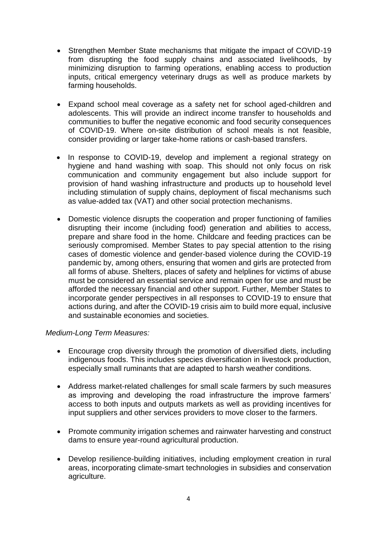- Strengthen Member State mechanisms that mitigate the impact of COVID-19 from disrupting the food supply chains and associated livelihoods, by minimizing disruption to farming operations, enabling access to production inputs, critical emergency veterinary drugs as well as produce markets by farming households.
- Expand school meal coverage as a safety net for school aged-children and adolescents. This will provide an indirect income transfer to households and communities to buffer the negative economic and food security consequences of COVID-19. Where on-site distribution of school meals is not feasible, consider providing or larger take-home rations or cash-based transfers.
- In response to COVID-19, develop and implement a regional strategy on hygiene and hand washing with soap. This should not only focus on risk communication and community engagement but also include support for provision of hand washing infrastructure and products up to household level including stimulation of supply chains, deployment of fiscal mechanisms such as value-added tax (VAT) and other social protection mechanisms.
- Domestic violence disrupts the cooperation and proper functioning of families disrupting their income (including food) generation and abilities to access, prepare and share food in the home. Childcare and feeding practices can be seriously compromised. Member States to pay special attention to the rising cases of domestic violence and gender-based violence during the COVID-19 pandemic by, among others, ensuring that women and girls are protected from all forms of abuse. Shelters, places of safety and helplines for victims of abuse must be considered an essential service and remain open for use and must be afforded the necessary financial and other support. Further, Member States to incorporate gender perspectives in all responses to COVID-19 to ensure that actions during, and after the COVID-19 crisis aim to build more equal, inclusive and sustainable economies and societies.

#### *Medium-Long Term Measures:*

- Encourage crop diversity through the promotion of diversified diets, including indigenous foods. This includes species diversification in livestock production, especially small ruminants that are adapted to harsh weather conditions.
- Address market-related challenges for small scale farmers by such measures as improving and developing the road infrastructure the improve farmers' access to both inputs and outputs markets as well as providing incentives for input suppliers and other services providers to move closer to the farmers.
- Promote community irrigation schemes and rainwater harvesting and construct dams to ensure year-round agricultural production.
- Develop resilience-building initiatives, including employment creation in rural areas, incorporating climate-smart technologies in subsidies and conservation agriculture.